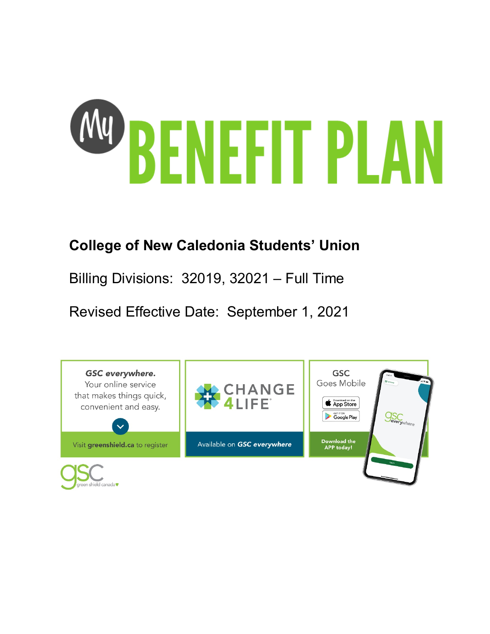

# **College of New Caledonia Students' Union**

Billing Divisions: 32019, 32021 – Full Time

Revised Effective Date: September 1, 2021

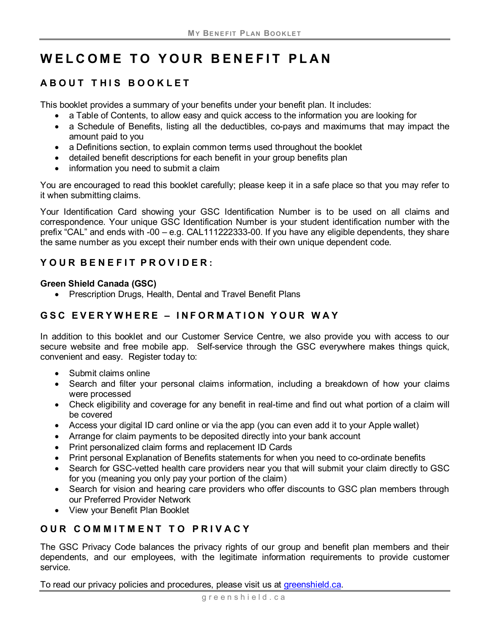# **WELCOME TO YOUR BENEFIT PLAN**

# **ABOUT THIS BOOKLET**

This booklet provides a summary of your benefits under your benefit plan. It includes:

- a Table of Contents, to allow easy and quick access to the information you are looking for
- a Schedule of Benefits, listing all the deductibles, co-pays and maximums that may impact the amount paid to you
- a Definitions section, to explain common terms used throughout the booklet
- detailed benefit descriptions for each benefit in your group benefits plan
- information you need to submit a claim

You are encouraged to read this booklet carefully; please keep it in a safe place so that you may refer to it when submitting claims.

Your Identification Card showing your GSC Identification Number is to be used on all claims and correspondence. Your unique GSC Identification Number is your student identification number with the prefix "CAL" and ends with -00 – e.g. CAL111222333-00. If you have any eligible dependents, they share the same number as you except their number ends with their own unique dependent code.

# **Y OUR B ENEFIT P ROVIDER :**

#### **Green Shield Canada (GSC)**

• Prescription Drugs, Health, Dental and Travel Benefit Plans

# **GSC EVERYWHERE – INFORMATION YOUR WAY**

In addition to this booklet and our Customer Service Centre, we also provide you with access to our secure website and free mobile app. Self-service through the GSC everywhere makes things quick, convenient and easy. Register today to:

- Submit claims online
- Search and filter your personal claims information, including a breakdown of how your claims were processed
- Check eligibility and coverage for any benefit in real-time and find out what portion of a claim will be covered
- Access your digital ID card online or via the app (you can even add it to your Apple wallet)
- Arrange for claim payments to be deposited directly into your bank account
- Print personalized claim forms and replacement ID Cards
- Print personal Explanation of Benefits statements for when you need to co-ordinate benefits
- Search for GSC-vetted health care providers near you that will submit your claim directly to GSC for you (meaning you only pay your portion of the claim)
- Search for vision and hearing care providers who offer discounts to GSC plan members through our Preferred Provider Network
- View your Benefit Plan Booklet

# **OUR COMMITMENT TO PRIVACY**

The GSC Privacy Code balances the privacy rights of our group and benefit plan members and their dependents, and our employees, with the legitimate information requirements to provide customer service.

To read our privacy policies and procedures, please visit us at *greenshield.ca.*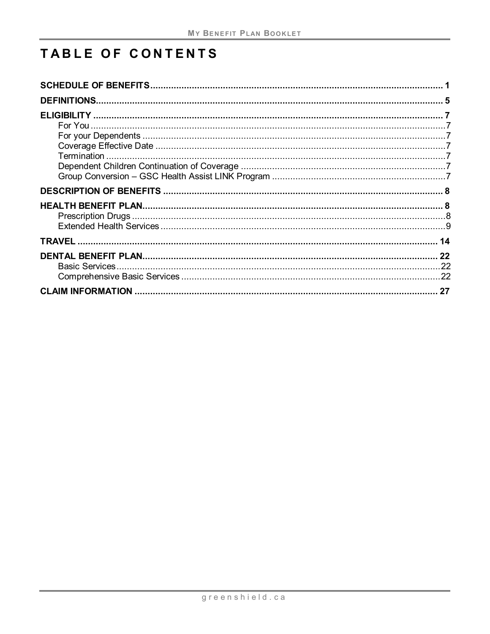# TABLE OF CONTENTS

| 27 |
|----|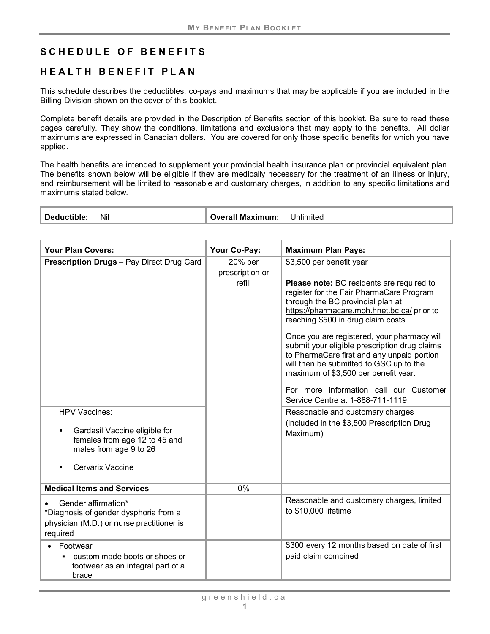## <span id="page-3-0"></span>**SCHEDULE OF BENEFITS**

## **HEALTH BENEFIT PLAN**

This schedule describes the deductibles, co-pays and maximums that may be applicable if you are included in the Billing Division shown on the cover of this booklet.

Complete benefit details are provided in the Description of Benefits section of this booklet. Be sure to read these pages carefully. They show the conditions, limitations and exclusions that may apply to the benefits. All dollar maximums are expressed in Canadian dollars. You are covered for only those specific benefits for which you have applied.

The health benefits are intended to supplement your provincial health insurance plan or provincial equivalent plan. The benefits shown below will be eligible if they are medically necessary for the treatment of an illness or injury, and reimbursement will be limited to reasonable and customary charges, in addition to any specific limitations and maximums stated below.

| Nil<br>Deductible: | <b>Overall Maximum:</b> | Unlimited |
|--------------------|-------------------------|-----------|
|--------------------|-------------------------|-----------|

| <b>Your Plan Covers:</b>                                                                                                                                                          | Your Co-Pay:                         | <b>Maximum Plan Pays:</b>                                                                                                                                                                                                                                                                                                                                                                                                                                                                                                                                                                                                                                  |
|-----------------------------------------------------------------------------------------------------------------------------------------------------------------------------------|--------------------------------------|------------------------------------------------------------------------------------------------------------------------------------------------------------------------------------------------------------------------------------------------------------------------------------------------------------------------------------------------------------------------------------------------------------------------------------------------------------------------------------------------------------------------------------------------------------------------------------------------------------------------------------------------------------|
| <b>Prescription Drugs</b> - Pay Direct Drug Card<br>HPV Vaccines:<br>Gardasil Vaccine eligible for<br>females from age 12 to 45 and<br>males from age 9 to 26<br>Cervarix Vaccine | 20% per<br>prescription or<br>refill | \$3,500 per benefit year<br>Please note: BC residents are required to<br>register for the Fair PharmaCare Program<br>through the BC provincial plan at<br>https://pharmacare.moh.hnet.bc.ca/ prior to<br>reaching \$500 in drug claim costs.<br>Once you are registered, your pharmacy will<br>submit your eligible prescription drug claims<br>to PharmaCare first and any unpaid portion<br>will then be submitted to GSC up to the<br>maximum of \$3,500 per benefit year.<br>For more information call our Customer<br>Service Centre at 1-888-711-1119.<br>Reasonable and customary charges<br>(included in the \$3,500 Prescription Drug<br>Maximum) |
| <b>Medical Items and Services</b>                                                                                                                                                 | 0%                                   |                                                                                                                                                                                                                                                                                                                                                                                                                                                                                                                                                                                                                                                            |
| Gender affirmation*<br>*Diagnosis of gender dysphoria from a<br>physician (M.D.) or nurse practitioner is<br>required                                                             |                                      | Reasonable and customary charges, limited<br>to \$10,000 lifetime                                                                                                                                                                                                                                                                                                                                                                                                                                                                                                                                                                                          |
| Footwear<br>• custom made boots or shoes or<br>footwear as an integral part of a<br>brace                                                                                         |                                      | \$300 every 12 months based on date of first<br>paid claim combined                                                                                                                                                                                                                                                                                                                                                                                                                                                                                                                                                                                        |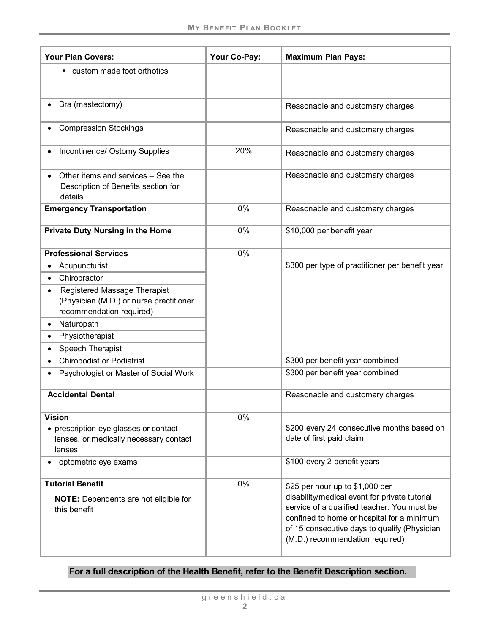| <b>Your Plan Covers:</b>                                                                                   | Your Co-Pay: | <b>Maximum Plan Pays:</b>                                                                                                                                                                                                                                        |
|------------------------------------------------------------------------------------------------------------|--------------|------------------------------------------------------------------------------------------------------------------------------------------------------------------------------------------------------------------------------------------------------------------|
| • custom made foot orthotics                                                                               |              |                                                                                                                                                                                                                                                                  |
| Bra (mastectomy)                                                                                           |              | Reasonable and customary charges                                                                                                                                                                                                                                 |
| <b>Compression Stockings</b>                                                                               |              | Reasonable and customary charges                                                                                                                                                                                                                                 |
| Incontinence/ Ostomy Supplies                                                                              | 20%          | Reasonable and customary charges                                                                                                                                                                                                                                 |
| Other items and services - See the<br>Description of Benefits section for<br>details                       |              | Reasonable and customary charges                                                                                                                                                                                                                                 |
| <b>Emergency Transportation</b>                                                                            | 0%           | Reasonable and customary charges                                                                                                                                                                                                                                 |
| Private Duty Nursing in the Home                                                                           | 0%           | \$10,000 per benefit year                                                                                                                                                                                                                                        |
| <b>Professional Services</b>                                                                               | 0%           |                                                                                                                                                                                                                                                                  |
| Acupuncturist                                                                                              |              | \$300 per type of practitioner per benefit year                                                                                                                                                                                                                  |
| Chiropractor                                                                                               |              |                                                                                                                                                                                                                                                                  |
| Registered Massage Therapist<br>(Physician (M.D.) or nurse practitioner<br>recommendation required)        |              |                                                                                                                                                                                                                                                                  |
| Naturopath                                                                                                 |              |                                                                                                                                                                                                                                                                  |
| Physiotherapist                                                                                            |              |                                                                                                                                                                                                                                                                  |
| Speech Therapist                                                                                           |              |                                                                                                                                                                                                                                                                  |
| <b>Chiropodist or Podiatrist</b>                                                                           |              | \$300 per benefit year combined                                                                                                                                                                                                                                  |
| Psychologist or Master of Social Work                                                                      |              | \$300 per benefit year combined                                                                                                                                                                                                                                  |
| <b>Accidental Dental</b>                                                                                   |              | Reasonable and customary charges                                                                                                                                                                                                                                 |
| <b>Vision</b><br>• prescription eye glasses or contact<br>lenses, or medically necessary contact<br>lenses | 0%           | \$200 every 24 consecutive months based on<br>date of first paid claim                                                                                                                                                                                           |
| optometric eye exams                                                                                       |              | \$100 every 2 benefit years                                                                                                                                                                                                                                      |
| <b>Tutorial Benefit</b><br><b>NOTE:</b> Dependents are not eligible for<br>this benefit                    | 0%           | \$25 per hour up to \$1,000 per<br>disability/medical event for private tutorial<br>service of a qualified teacher. You must be<br>confined to home or hospital for a minimum<br>of 15 consecutive days to qualify (Physician<br>(M.D.) recommendation required) |

## **For a full description of the Health Benefit, refer to the Benefit Description section.**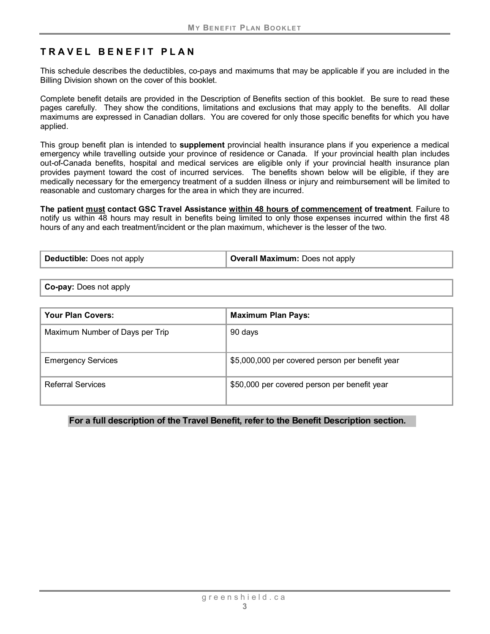# **TRAVEL BENEFIT PLAN**

This schedule describes the deductibles, co-pays and maximums that may be applicable if you are included in the Billing Division shown on the cover of this booklet.

Complete benefit details are provided in the Description of Benefits section of this booklet. Be sure to read these pages carefully. They show the conditions, limitations and exclusions that may apply to the benefits. All dollar maximums are expressed in Canadian dollars. You are covered for only those specific benefits for which you have applied.

This group benefit plan is intended to **supplement** provincial health insurance plans if you experience a medical emergency while travelling outside your province of residence or Canada. If your provincial health plan includes out-of-Canada benefits, hospital and medical services are eligible only if your provincial health insurance plan provides payment toward the cost of incurred services. The benefits shown below will be eligible, if they are medically necessary for the emergency treatment of a sudden illness or injury and reimbursement will be limited to reasonable and customary charges for the area in which they are incurred.

**The patient must contact GSC Travel Assistance within 48 hours of commencement of treatment**. Failure to notify us within 48 hours may result in benefits being limited to only those expenses incurred within the first 48 hours of any and each treatment/incident or the plan maximum, whichever is the lesser of the two.

**Deductible:** Does not apply **Overall Maximum:** Does not apply

**Co-pay:** Does not apply

| <b>Your Plan Covers:</b>        | <b>Maximum Plan Pays:</b>                       |
|---------------------------------|-------------------------------------------------|
| Maximum Number of Days per Trip | 90 days                                         |
| <b>Emergency Services</b>       | \$5,000,000 per covered person per benefit year |
| <b>Referral Services</b>        | \$50,000 per covered person per benefit year    |

#### **For a full description of the Travel Benefit, refer to the Benefit Description section.**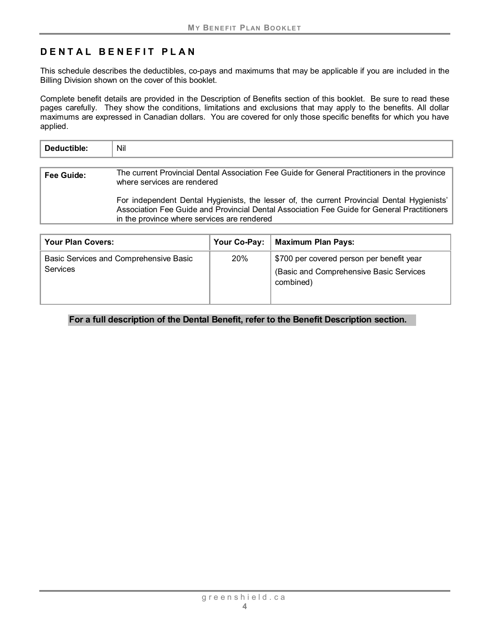# **DENTAL BENEFIT PLAN**

This schedule describes the deductibles, co-pays and maximums that may be applicable if you are included in the Billing Division shown on the cover of this booklet.

Complete benefit details are provided in the Description of Benefits section of this booklet. Be sure to read these pages carefully. They show the conditions, limitations and exclusions that may apply to the benefits. All dollar maximums are expressed in Canadian dollars. You are covered for only those specific benefits for which you have applied.

| Deductible:       | Nil                                                                                                                          |
|-------------------|------------------------------------------------------------------------------------------------------------------------------|
| <b>Fee Guide:</b> | The current Provincial Dental Association Fee Guide for General Practitioners in the province<br>where services are rendered |
|                   | .                                                                                                                            |

For independent Dental Hygienists, the lesser of, the current Provincial Dental Hygienists' Association Fee Guide and Provincial Dental Association Fee Guide for General Practitioners in the province where services are rendered

| <b>Your Plan Covers:</b>                                  | Your Co-Pay: | <b>Maximum Plan Pays:</b>                                                                         |
|-----------------------------------------------------------|--------------|---------------------------------------------------------------------------------------------------|
| Basic Services and Comprehensive Basic<br><b>Services</b> | 20%          | \$700 per covered person per benefit year<br>(Basic and Comprehensive Basic Services<br>combined) |

**For a full description of the Dental Benefit, refer to the Benefit Description section.**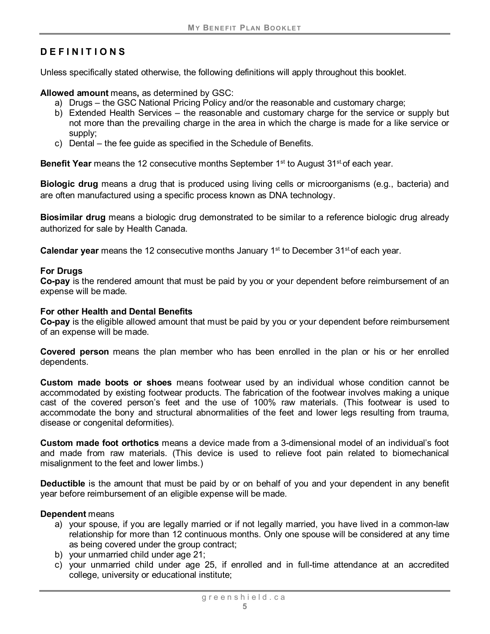# <span id="page-7-0"></span>**DEFINITIONS**

Unless specifically stated otherwise, the following definitions will apply throughout this booklet.

**Allowed amount** means**,** as determined by GSC:

- a) Drugs the GSC National Pricing Policy and/or the reasonable and customary charge;
- b) Extended Health Services the reasonable and customary charge for the service or supply but not more than the prevailing charge in the area in which the charge is made for a like service or supply;
- c) Dental the fee guide as specified in the Schedule of Benefits.

**Benefit Year** means the 12 consecutive months September 1<sup>st</sup> to August 31<sup>st</sup> of each year.

**Biologic drug** means a drug that is produced using living cells or microorganisms (e.g., bacteria) and are often manufactured using a specific process known as DNA technology.

<span id="page-7-1"></span>**Biosimilar drug** means a biologic drug demonstrated to be similar to a reference biologic drug already authorized for sale by Health Canada.

**Calendar year** means the 12 consecutive months January 1<sup>st</sup> to December 31<sup>st</sup> of each year.

#### **For Drugs**

**Co-pay** is the rendered amount that must be paid by you or your dependent before reimbursement of an expense will be made.

#### **For other Health and Dental Benefits**

**Co-pay** is the eligible allowed amount that must be paid by you or your dependent before reimbursement of an expense will be made.

**Covered person** means the plan member who has been enrolled in the plan or his or her enrolled dependents.

**Custom made boots or shoes** means footwear used by an individual whose condition cannot be accommodated by existing footwear products. The fabrication of the footwear involves making a unique cast of the covered person's feet and the use of 100% raw materials. (This footwear is used to accommodate the bony and structural abnormalities of the feet and lower legs resulting from trauma, disease or congenital deformities).

**Custom made foot orthotics** means a device made from a 3-dimensional model of an individual's foot and made from raw materials. (This device is used to relieve foot pain related to biomechanical misalignment to the feet and lower limbs.)

**Deductible** is the amount that must be paid by or on behalf of you and your dependent in any benefit year before reimbursement of an eligible expense will be made.

#### **Dependent** means

- a) your spouse, if you are legally married or if not legally married, you have lived in a common-law relationship for more than 12 continuous months. Only one spouse will be considered at any time as being covered under the group contract;
- b) your unmarried child under age 21;
- c) your unmarried child under age 25, if enrolled and in full-time attendance at an accredited college, university or educational institute;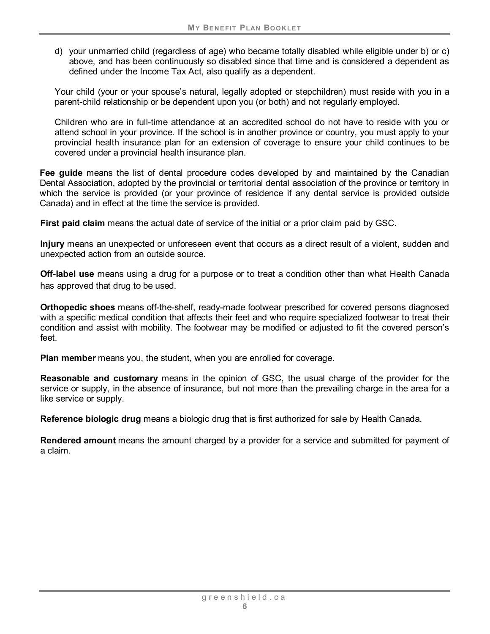d) your unmarried child (regardless of age) who became totally disabled while eligible under b) or c) above, and has been continuously so disabled since that time and is considered a dependent as defined under the Income Tax Act, also qualify as a dependent.

Your child (your or your spouse's natural, legally adopted or stepchildren) must reside with you in a parent-child relationship or be dependent upon you (or both) and not regularly employed.

Children who are in full-time attendance at an accredited school do not have to reside with you or attend school in your province. If the school is in another province or country, you must apply to your provincial health insurance plan for an extension of coverage to ensure your child continues to be covered under a provincial health insurance plan.

**Fee guide** means the list of dental procedure codes developed by and maintained by the Canadian Dental Association, adopted by the provincial or territorial dental association of the province or territory in which the service is provided (or your province of residence if any dental service is provided outside Canada) and in effect at the time the service is provided.

**First paid claim** means the actual date of service of the initial or a prior claim paid by GSC.

**Injury** means an unexpected or unforeseen event that occurs as a direct result of a violent, sudden and unexpected action from an outside source.

<span id="page-8-0"></span>**Off-label use** means using a drug for a purpose or to treat a condition other than what Health Canada has approved that drug to be used.

**Orthopedic shoes** means off-the-shelf, ready-made footwear prescribed for covered persons diagnosed with a specific medical condition that affects their feet and who require specialized footwear to treat their condition and assist with mobility. The footwear may be modified or adjusted to fit the covered person's feet.

**Plan member** means you, the student, when you are enrolled for coverage.

**Reasonable and customary** means in the opinion of GSC, the usual charge of the provider for the service or supply, in the absence of insurance, but not more than the prevailing charge in the area for a like service or supply.

**Reference biologic drug** means a biologic drug that is first authorized for sale by Health Canada.

**Rendered amount** means the amount charged by a provider for a service and submitted for payment of a claim.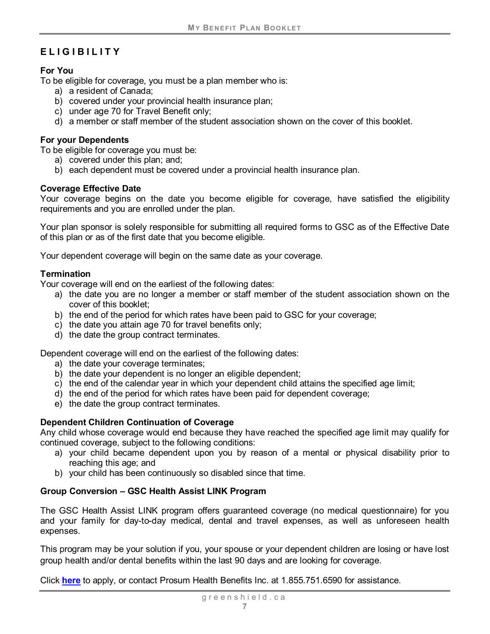# <span id="page-9-0"></span>**ELIGIBILITY**

#### <span id="page-9-1"></span>**For You**

To be eligible for coverage, you must be a plan member who is:

- a) a resident of Canada;
- b) covered under your provincial health insurance plan;
- c) under age 70 for Travel Benefit only;
- d) a member or staff member of the student association shown on the cover of this booklet.

#### <span id="page-9-2"></span>**For your Dependents**

To be eligible for coverage you must be:

- a) covered under this plan; and;
- b) each dependent must be covered under a provincial health insurance plan.

#### <span id="page-9-3"></span>**Coverage Effective Date**

Your coverage begins on the date you become eligible for coverage, have satisfied the eligibility requirements and you are enrolled under the plan.

Your plan sponsor is solely responsible for submitting all required forms to GSC as of the Effective Date of this plan or as of the first date that you become eligible.

Your dependent coverage will begin on the same date as your coverage.

#### <span id="page-9-4"></span>**Termination**

Your coverage will end on the earliest of the following dates:

- a) the date you are no longer a member or staff member of the student association shown on the cover of this booklet;
- b) the end of the period for which rates have been paid to GSC for your coverage;
- c) the date you attain age 70 for travel benefits only;
- d) the date the group contract terminates.

Dependent coverage will end on the earliest of the following dates:

- a) the date your coverage terminates;
- b) the date your dependent is no longer an eligible dependent;
- c) the end of the calendar year in which your dependent child attains the specified age limit;
- d) the end of the period for which rates have been paid for dependent coverage;
- e) the date the group contract terminates.

#### <span id="page-9-5"></span>**Dependent Children Continuation of Coverage**

Any child whose coverage would end because they have reached the specified age limit may qualify for continued coverage, subject to the following conditions:

- a) your child became dependent upon you by reason of a mental or physical disability prior to reaching this age; and
- b) your child has been continuously so disabled since that time.

#### <span id="page-9-6"></span>**Group Conversion – GSC Health Assist LINK Program**

The GSC Health Assist LINK program offers guaranteed coverage (no medical questionnaire) for you and your family for day-to-day medical, dental and travel expenses, as well as unforeseen health expenses.

This program may be your solution if you, your spouse or your dependent children are losing or have lost group health and/or dental benefits within the last 90 days and are looking for coverage.

Click **[here](https://mygscadvantage.ca/ha/Quote/AllProducts?mgaid=8915&oid=GPB83&aid=PB8301)** to apply, or contact Prosum Health Benefits Inc. at 1.855.751.6590 for assistance.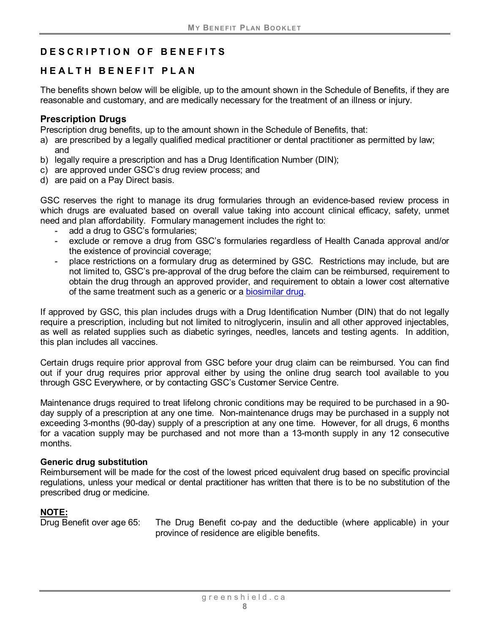# <span id="page-10-0"></span>**DESCRIPTION OF BENEF ITS**

## <span id="page-10-1"></span>**HEALTH BENEFIT PLAN**

The benefits shown below will be eligible, up to the amount shown in the Schedule of Benefits, if they are reasonable and customary, and are medically necessary for the treatment of an illness or injury.

#### <span id="page-10-2"></span>**Prescription Drugs**

Prescription drug benefits, up to the amount shown in the Schedule of Benefits, that:

- a) are prescribed by a legally qualified medical practitioner or dental practitioner as permitted by law; and
- b) legally require a prescription and has a Drug Identification Number (DIN);
- c) are approved under GSC's drug review process; and
- d) are paid on a Pay Direct basis.

GSC reserves the right to manage its drug formularies through an evidence-based review process in which drugs are evaluated based on overall value taking into account clinical efficacy, safety, unmet need and plan affordability. Formulary management includes the right to:

- add a drug to GSC's formularies;
- exclude or remove a drug from GSC's formularies regardless of Health Canada approval and/or the existence of provincial coverage;
- place restrictions on a formulary drug as determined by GSC. Restrictions may include, but are not limited to, GSC's pre-approval of the drug before the claim can be reimbursed, requirement to obtain the drug through an approved provider, and requirement to obtain a lower cost alternative of the same treatment such as a generic or a [biosimilar drug.](#page-7-1)

If approved by GSC, this plan includes drugs with a Drug Identification Number (DIN) that do not legally require a prescription, including but not limited to nitroglycerin, insulin and all other approved injectables, as well as related supplies such as diabetic syringes, needles, lancets and testing agents. In addition, this plan includes all vaccines.

Certain drugs require prior approval from GSC before your drug claim can be reimbursed. You can find out if your drug requires prior approval either by using the online drug search tool available to you through GSC Everywhere, or by contacting GSC's Customer Service Centre.

Maintenance drugs required to treat lifelong chronic conditions may be required to be purchased in a 90 day supply of a prescription at any one time. Non-maintenance drugs may be purchased in a supply not exceeding 3-months (90-day) supply of a prescription at any one time. However, for all drugs, 6 months for a vacation supply may be purchased and not more than a 13-month supply in any 12 consecutive months.

#### **Generic drug substitution**

Reimbursement will be made for the cost of the lowest priced equivalent drug based on specific provincial regulations, unless your medical or dental practitioner has written that there is to be no substitution of the prescribed drug or medicine.

#### **NOTE:**

Drug Benefit over age 65: The Drug Benefit co-pay and the deductible (where applicable) in your province of residence are eligible benefits.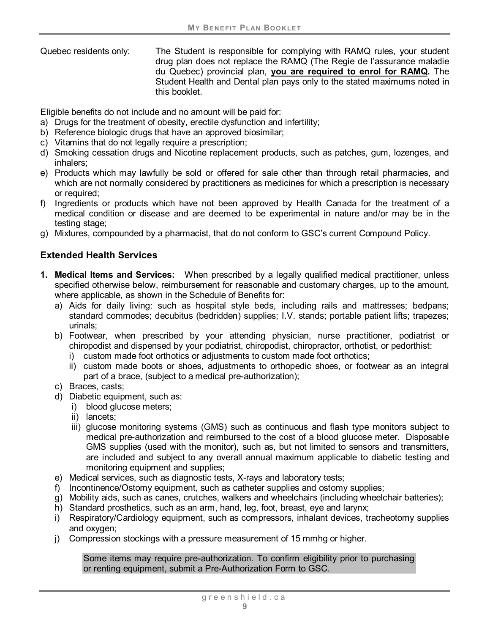Quebec residents only: The Student is responsible for complying with RAMQ rules, your student drug plan does not replace the RAMQ (The Regie de l'assurance maladie du Quebec) provincial plan, **you are required to enrol for RAMQ.** The Student Health and Dental plan pays only to the stated maximums noted in this booklet.

Eligible benefits do not include and no amount will be paid for:

- a) Drugs for the treatment of obesity, erectile dysfunction and infertility;
- b) Reference biologic drugs that have an approved biosimilar;
- c) Vitamins that do not legally require a prescription;
- d) Smoking cessation drugs and Nicotine replacement products, such as patches, gum, lozenges, and inhalers;
- e) Products which may lawfully be sold or offered for sale other than through retail pharmacies, and which are not normally considered by practitioners as medicines for which a prescription is necessary or required;
- f) Ingredients or products which have not been approved by Health Canada for the treatment of a medical condition or disease and are deemed to be experimental in nature and/or may be in the testing stage;
- g) Mixtures, compounded by a pharmacist, that do not conform to GSC's current Compound Policy.

## <span id="page-11-0"></span>**Extended Health Services**

- **1. Medical Items and Services:** When prescribed by a legally qualified medical practitioner, unless specified otherwise below, reimbursement for reasonable and customary charges, up to the amount, where applicable, as shown in the Schedule of Benefits for:
	- a) Aids for daily living: such as hospital style beds, including rails and mattresses; bedpans; standard commodes; decubitus (bedridden) supplies; I.V. stands; portable patient lifts; trapezes; urinals;
	- b) Footwear, when prescribed by your attending physician, nurse practitioner, podiatrist or chiropodist and dispensed by your podiatrist, chiropodist, chiropractor, orthotist, or pedorthist:
		- i) custom made foot orthotics or adjustments to custom made foot orthotics;
		- ii) custom made boots or shoes, adjustments to orthopedic shoes, or footwear as an integral part of a brace, (subject to a medical pre-authorization);
	- c) Braces, casts;
	- d) Diabetic equipment, such as:
		- i) blood glucose meters;
		- ii) lancets;
		- iii) glucose monitoring systems (GMS) such as continuous and flash type monitors subject to medical pre-authorization and reimbursed to the cost of a blood glucose meter. Disposable GMS supplies (used with the monitor), such as, but not limited to sensors and transmitters, are included and subject to any overall annual maximum applicable to diabetic testing and monitoring equipment and supplies;
	- e) Medical services, such as diagnostic tests, X-rays and laboratory tests;
	- f) Incontinence/Ostomy equipment, such as catheter supplies and ostomy supplies;
	- g) Mobility aids, such as canes, crutches, walkers and wheelchairs (including wheelchair batteries);
	- h) Standard prosthetics, such as an arm, hand, leg, foot, breast, eye and larynx;
	- i) Respiratory/Cardiology equipment, such as compressors, inhalant devices, tracheotomy supplies and oxygen;
	- j) Compression stockings with a pressure measurement of 15 mmhg or higher.

Some items may require pre-authorization. To confirm eligibility prior to purchasing or renting equipment, submit a Pre-Authorization Form to GSC.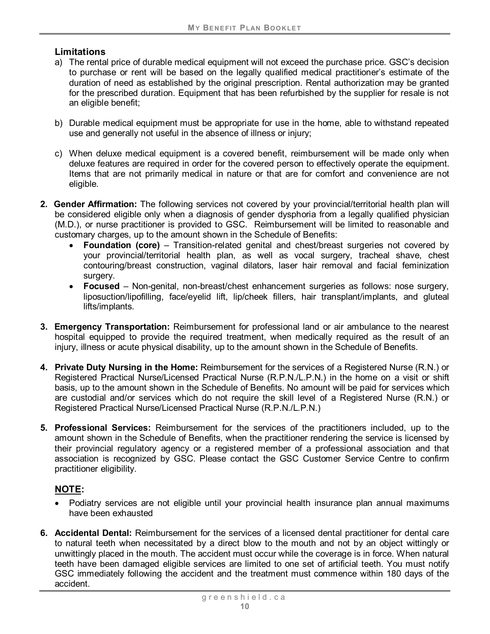#### **Limitations**

- a) The rental price of durable medical equipment will not exceed the purchase price. GSC's decision to purchase or rent will be based on the legally qualified medical practitioner's estimate of the duration of need as established by the original prescription. Rental authorization may be granted for the prescribed duration. Equipment that has been refurbished by the supplier for resale is not an eligible benefit;
- b) Durable medical equipment must be appropriate for use in the home, able to withstand repeated use and generally not useful in the absence of illness or injury;
- c) When deluxe medical equipment is a covered benefit, reimbursement will be made only when deluxe features are required in order for the covered person to effectively operate the equipment. Items that are not primarily medical in nature or that are for comfort and convenience are not eligible.
- **2. Gender Affirmation:** The following services not covered by your provincial/territorial health plan will be considered eligible only when a diagnosis of gender dysphoria from a legally qualified physician (M.D.), or nurse practitioner is provided to GSC. Reimbursement will be limited to reasonable and customary charges, up to the amount shown in the Schedule of Benefits:
	- **Foundation (core)** Transition-related genital and chest/breast surgeries not covered by your provincial/territorial health plan, as well as vocal surgery, tracheal shave, chest contouring/breast construction, vaginal dilators, laser hair removal and facial feminization surgery.
	- **Focused**  Non-genital, non-breast/chest enhancement surgeries as follows: nose surgery, liposuction/lipofilling, face/eyelid lift, lip/cheek fillers, hair transplant/implants, and gluteal lifts/implants.
- **3. Emergency Transportation:** Reimbursement for professional land or air ambulance to the nearest hospital equipped to provide the required treatment, when medically required as the result of an injury, illness or acute physical disability, up to the amount shown in the Schedule of Benefits.
- **4. Private Duty Nursing in the Home:** Reimbursement for the services of a Registered Nurse (R.N.) or Registered Practical Nurse/Licensed Practical Nurse (R.P.N./L.P.N.) in the home on a visit or shift basis, up to the amount shown in the Schedule of Benefits. No amount will be paid for services which are custodial and/or services which do not require the skill level of a Registered Nurse (R.N.) or Registered Practical Nurse/Licensed Practical Nurse (R.P.N./L.P.N.)
- **5. Professional Services:** Reimbursement for the services of the practitioners included, up to the amount shown in the Schedule of Benefits, when the practitioner rendering the service is licensed by their provincial regulatory agency or a registered member of a professional association and that association is recognized by GSC. Please contact the GSC Customer Service Centre to confirm practitioner eligibility.

#### **NOTE:**

- Podiatry services are not eligible until your provincial health insurance plan annual maximums have been exhausted
- **6. Accidental Dental:** Reimbursement for the services of a licensed dental practitioner for dental care to natural teeth when necessitated by a direct blow to the mouth and not by an object wittingly or unwittingly placed in the mouth. The accident must occur while the coverage is in force. When natural teeth have been damaged eligible services are limited to one set of artificial teeth. You must notify GSC immediately following the accident and the treatment must commence within 180 days of the accident.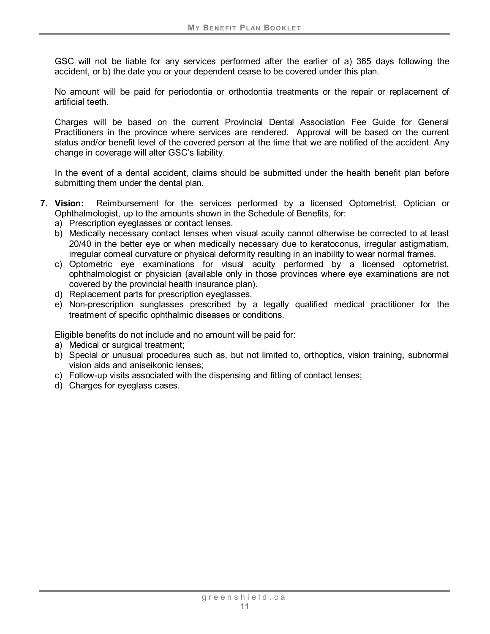GSC will not be liable for any services performed after the earlier of a) 365 days following the accident, or b) the date you or your dependent cease to be covered under this plan.

No amount will be paid for periodontia or orthodontia treatments or the repair or replacement of artificial teeth.

Charges will be based on the current Provincial Dental Association Fee Guide for General Practitioners in the province where services are rendered. Approval will be based on the current status and/or benefit level of the covered person at the time that we are notified of the accident. Any change in coverage will alter GSC's liability.

In the event of a dental accident, claims should be submitted under the health benefit plan before submitting them under the dental plan.

- **7. Vision:** Reimbursement for the services performed by a licensed Optometrist, Optician or Ophthalmologist, up to the amounts shown in the Schedule of Benefits, for:
	- a) Prescription eyeglasses or contact lenses.
	- b) Medically necessary contact lenses when visual acuity cannot otherwise be corrected to at least 20/40 in the better eye or when medically necessary due to keratoconus, irregular astigmatism, irregular corneal curvature or physical deformity resulting in an inability to wear normal frames.
	- c) Optometric eye examinations for visual acuity performed by a licensed optometrist, ophthalmologist or physician (available only in those provinces where eye examinations are not covered by the provincial health insurance plan).
	- d) Replacement parts for prescription eyeglasses.
	- e) Non-prescription sunglasses prescribed by a legally qualified medical practitioner for the treatment of specific ophthalmic diseases or conditions.

Eligible benefits do not include and no amount will be paid for:

- a) Medical or surgical treatment;
- b) Special or unusual procedures such as, but not limited to, orthoptics, vision training, subnormal vision aids and aniseikonic lenses;
- c) Follow-up visits associated with the dispensing and fitting of contact lenses;
- d) Charges for eyeglass cases.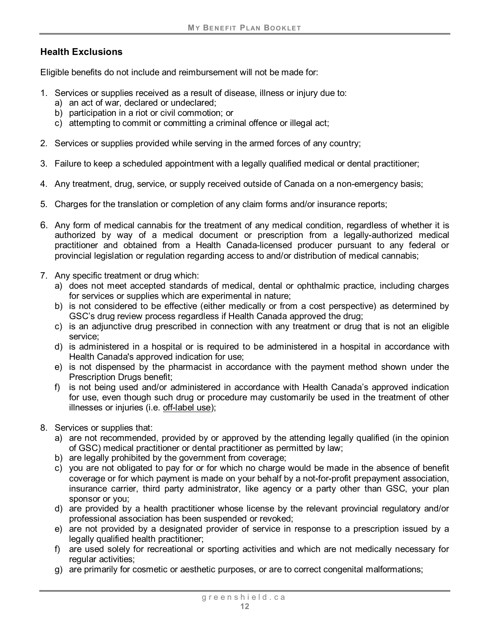## **Health Exclusions**

Eligible benefits do not include and reimbursement will not be made for:

- 1. Services or supplies received as a result of disease, illness or injury due to:
	- a) an act of war, declared or undeclared;
	- b) participation in a riot or civil commotion; or
	- c) attempting to commit or committing a criminal offence or illegal act;
- 2. Services or supplies provided while serving in the armed forces of any country;
- 3. Failure to keep a scheduled appointment with a legally qualified medical or dental practitioner;
- 4. Any treatment, drug, service, or supply received outside of Canada on a non-emergency basis;
- 5. Charges for the translation or completion of any claim forms and/or insurance reports;
- 6. Any form of medical cannabis for the treatment of any medical condition, regardless of whether it is authorized by way of a medical document or prescription from a legally-authorized medical practitioner and obtained from a Health Canada-licensed producer pursuant to any federal or provincial legislation or regulation regarding access to and/or distribution of medical cannabis;
- 7. Any specific treatment or drug which:
	- a) does not meet accepted standards of medical, dental or ophthalmic practice, including charges for services or supplies which are experimental in nature;
	- b) is not considered to be effective (either medically or from a cost perspective) as determined by GSC's drug review process regardless if Health Canada approved the drug;
	- c) is an adjunctive drug prescribed in connection with any treatment or drug that is not an eligible service;
	- d) is administered in a hospital or is required to be administered in a hospital in accordance with Health Canada's approved indication for use;
	- e) is not dispensed by the pharmacist in accordance with the payment method shown under the Prescription Drugs benefit;
	- f) is not being used and/or administered in accordance with Health Canada's approved indication for use, even though such drug or procedure may customarily be used in the treatment of other illnesses or injuries (i.e. [off-label use\)](#page-8-0);
- 8. Services or supplies that:
	- a) are not recommended, provided by or approved by the attending legally qualified (in the opinion of GSC) medical practitioner or dental practitioner as permitted by law;
	- b) are legally prohibited by the government from coverage;
	- c) you are not obligated to pay for or for which no charge would be made in the absence of benefit coverage or for which payment is made on your behalf by a not-for-profit prepayment association, insurance carrier, third party administrator, like agency or a party other than GSC, your plan sponsor or you;
	- d) are provided by a health practitioner whose license by the relevant provincial regulatory and/or professional association has been suspended or revoked;
	- e) are not provided by a designated provider of service in response to a prescription issued by a legally qualified health practitioner;
	- f) are used solely for recreational or sporting activities and which are not medically necessary for regular activities;
	- g) are primarily for cosmetic or aesthetic purposes, or are to correct congenital malformations;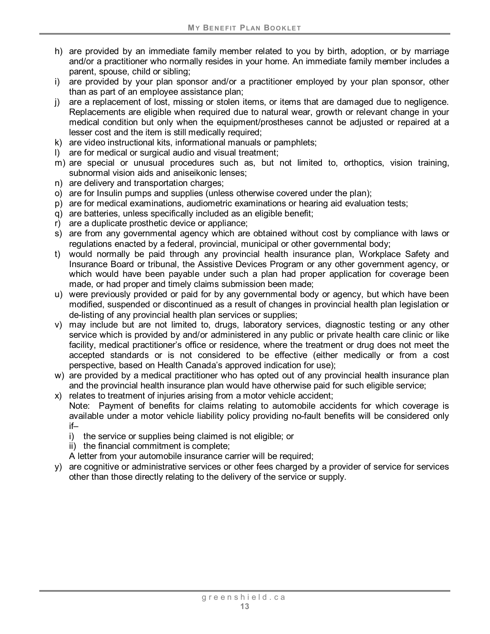- h) are provided by an immediate family member related to you by birth, adoption, or by marriage and/or a practitioner who normally resides in your home. An immediate family member includes a parent, spouse, child or sibling;
- i) are provided by your plan sponsor and/or a practitioner employed by your plan sponsor, other than as part of an employee assistance plan;
- j) are a replacement of lost, missing or stolen items, or items that are damaged due to negligence. Replacements are eligible when required due to natural wear, growth or relevant change in your medical condition but only when the equipment/prostheses cannot be adjusted or repaired at a lesser cost and the item is still medically required;
- k) are video instructional kits, informational manuals or pamphlets;
- l) are for medical or surgical audio and visual treatment;
- m) are special or unusual procedures such as, but not limited to, orthoptics, vision training, subnormal vision aids and aniseikonic lenses;
- n) are delivery and transportation charges;
- o) are for Insulin pumps and supplies (unless otherwise covered under the plan);
- p) are for medical examinations, audiometric examinations or hearing aid evaluation tests;
- q) are batteries, unless specifically included as an eligible benefit;
- r) are a duplicate prosthetic device or appliance;
- s) are from any governmental agency which are obtained without cost by compliance with laws or regulations enacted by a federal, provincial, municipal or other governmental body;
- t) would normally be paid through any provincial health insurance plan, Workplace Safety and Insurance Board or tribunal, the Assistive Devices Program or any other government agency, or which would have been payable under such a plan had proper application for coverage been made, or had proper and timely claims submission been made;
- u) were previously provided or paid for by any governmental body or agency, but which have been modified, suspended or discontinued as a result of changes in provincial health plan legislation or de-listing of any provincial health plan services or supplies;
- v) may include but are not limited to, drugs, laboratory services, diagnostic testing or any other service which is provided by and/or administered in any public or private health care clinic or like facility, medical practitioner's office or residence, where the treatment or drug does not meet the accepted standards or is not considered to be effective (either medically or from a cost perspective, based on Health Canada's approved indication for use);
- w) are provided by a medical practitioner who has opted out of any provincial health insurance plan and the provincial health insurance plan would have otherwise paid for such eligible service;
- x) relates to treatment of injuries arising from a motor vehicle accident;

Note: Payment of benefits for claims relating to automobile accidents for which coverage is available under a motor vehicle liability policy providing no-fault benefits will be considered only if–

- i) the service or supplies being claimed is not eligible; or
- ii) the financial commitment is complete;

A letter from your automobile insurance carrier will be required;

y) are cognitive or administrative services or other fees charged by a provider of service for services other than those directly relating to the delivery of the service or supply.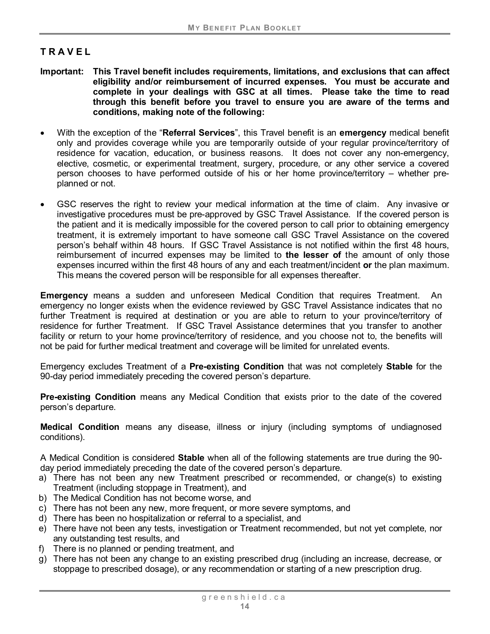## <span id="page-16-0"></span>**TRAVEL**

- **Important: This Travel benefit includes requirements, limitations, and exclusions that can affect eligibility and/or reimbursement of incurred expenses. You must be accurate and complete in your dealings with GSC at all times. Please take the time to read through this benefit before you travel to ensure you are aware of the terms and conditions, making note of the following:**
- With the exception of the "**Referral Services**", this Travel benefit is an **emergency** medical benefit only and provides coverage while you are temporarily outside of your regular province/territory of residence for vacation, education, or business reasons. It does not cover any non-emergency, elective, cosmetic, or experimental treatment, surgery, procedure, or any other service a covered person chooses to have performed outside of his or her home province/territory – whether preplanned or not.
- GSC reserves the right to review your medical information at the time of claim. Any invasive or investigative procedures must be pre-approved by GSC Travel Assistance. If the covered person is the patient and it is medically impossible for the covered person to call prior to obtaining emergency treatment, it is extremely important to have someone call GSC Travel Assistance on the covered person's behalf within 48 hours. If GSC Travel Assistance is not notified within the first 48 hours, reimbursement of incurred expenses may be limited to **the lesser of** the amount of only those expenses incurred within the first 48 hours of any and each treatment/incident **or** the plan maximum. This means the covered person will be responsible for all expenses thereafter.

**Emergency** means a sudden and unforeseen Medical Condition that requires Treatment. An emergency no longer exists when the evidence reviewed by GSC Travel Assistance indicates that no further Treatment is required at destination or you are able to return to your province/territory of residence for further Treatment. If GSC Travel Assistance determines that you transfer to another facility or return to your home province/territory of residence, and you choose not to, the benefits will not be paid for further medical treatment and coverage will be limited for unrelated events.

Emergency excludes Treatment of a **Pre-existing Condition** that was not completely **Stable** for the 90-day period immediately preceding the covered person's departure.

**Pre-existing Condition** means any Medical Condition that exists prior to the date of the covered person's departure.

**Medical Condition** means any disease, illness or injury (including symptoms of undiagnosed conditions).

<span id="page-16-1"></span>A Medical Condition is considered **Stable** when all of the following statements are true during the 90 day period immediately preceding the date of the covered person's departure.

- a) There has not been any new Treatment prescribed or recommended, or change(s) to existing Treatment (including stoppage in Treatment), and
- b) The Medical Condition has not become worse, and
- c) There has not been any new, more frequent, or more severe symptoms, and
- d) There has been no hospitalization or referral to a specialist, and
- e) There have not been any tests, investigation or Treatment recommended, but not yet complete, nor any outstanding test results, and
- f) There is no planned or pending treatment, and
- g) There has not been any change to an existing prescribed drug (including an increase, decrease, or stoppage to prescribed dosage), or any recommendation or starting of a new prescription drug.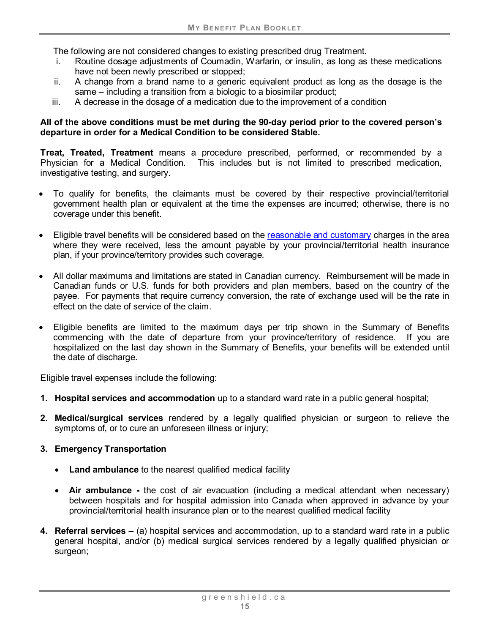The following are not considered changes to existing prescribed drug Treatment.

- i. Routine dosage adjustments of Coumadin, Warfarin, or insulin, as long as these medications have not been newly prescribed or stopped;
- ii. A change from a brand name to a generic equivalent product as long as the dosage is the same – including a transition from a biologic to a biosimilar product;
- iii. A decrease in the dosage of a medication due to the improvement of a condition

#### **All of the above conditions must be met during the 90-day period prior to the covered person's departure in order for a Medical Condition to be considered Stable.**

<span id="page-17-0"></span>**Treat, Treated, Treatment** means a procedure prescribed, performed, or recommended by a Physician for a Medical Condition. This includes but is not limited to prescribed medication, investigative testing, and surgery.

- To qualify for benefits, the claimants must be covered by their respective provincial/territorial government health plan or equivalent at the time the expenses are incurred; otherwise, there is no coverage under this benefit.
- Eligible travel benefits will be considered based on the reasonable and customary charges in the area where they were received, less the amount payable by your provincial/territorial health insurance plan, if your province/territory provides such coverage.
- All dollar maximums and limitations are stated in Canadian currency. Reimbursement will be made in Canadian funds or U.S. funds for both providers and plan members, based on the country of the payee. For payments that require currency conversion, the rate of exchange used will be the rate in effect on the date of service of the claim.
- Eligible benefits are limited to the maximum days per trip shown in the Summary of Benefits commencing with the date of departure from your province/territory of residence. If you are hospitalized on the last day shown in the Summary of Benefits, your benefits will be extended until the date of discharge.

Eligible travel expenses include the following:

- **1. Hospital services and accommodation** up to a standard ward rate in a public general hospital;
- **2. Medical/surgical services** rendered by a legally qualified physician or surgeon to relieve the symptoms of, or to cure an unforeseen illness or injury;

#### **3. Emergency Transportation**

- **Land ambulance** to the nearest qualified medical facility
- **Air ambulance -** the cost of air evacuation (including a medical attendant when necessary) between hospitals and for hospital admission into Canada when approved in advance by your provincial/territorial health insurance plan or to the nearest qualified medical facility
- **4. Referral services** (a) hospital services and accommodation, up to a standard ward rate in a public general hospital, and/or (b) medical surgical services rendered by a legally qualified physician or surgeon;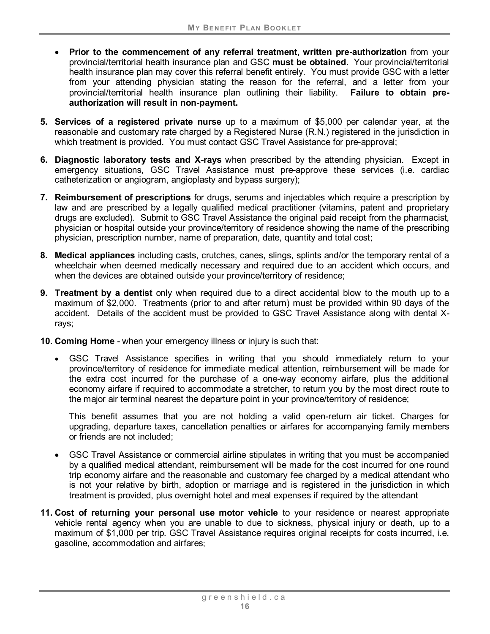- **Prior to the commencement of any referral treatment, written pre-authorization** from your provincial/territorial health insurance plan and GSC **must be obtained**. Your provincial/territorial health insurance plan may cover this referral benefit entirely. You must provide GSC with a letter from your attending physician stating the reason for the referral, and a letter from your provincial/territorial health insurance plan outlining their liability. **Failure to obtain preauthorization will result in non-payment.**
- **5. Services of a registered private nurse** up to a maximum of \$5,000 per calendar year, at the reasonable and customary rate charged by a Registered Nurse (R.N.) registered in the jurisdiction in which treatment is provided. You must contact GSC Travel Assistance for pre-approval;
- **6. Diagnostic laboratory tests and X-rays** when prescribed by the attending physician. Except in emergency situations, GSC Travel Assistance must pre-approve these services (i.e. cardiac catheterization or angiogram, angioplasty and bypass surgery);
- **7. Reimbursement of prescriptions** for drugs, serums and injectables which require a prescription by law and are prescribed by a legally qualified medical practitioner (vitamins, patent and proprietary drugs are excluded). Submit to GSC Travel Assistance the original paid receipt from the pharmacist, physician or hospital outside your province/territory of residence showing the name of the prescribing physician, prescription number, name of preparation, date, quantity and total cost;
- **8. Medical appliances** including casts, crutches, canes, slings, splints and/or the temporary rental of a wheelchair when deemed medically necessary and required due to an accident which occurs, and when the devices are obtained outside your province/territory of residence;
- **9. Treatment by a dentist** only when required due to a direct accidental blow to the mouth up to a maximum of \$2,000. Treatments (prior to and after return) must be provided within 90 days of the accident. Details of the accident must be provided to GSC Travel Assistance along with dental Xrays;
- **10. Coming Home** when your emergency illness or injury is such that:
	- GSC Travel Assistance specifies in writing that you should immediately return to your province/territory of residence for immediate medical attention, reimbursement will be made for the extra cost incurred for the purchase of a one-way economy airfare, plus the additional economy airfare if required to accommodate a stretcher, to return you by the most direct route to the major air terminal nearest the departure point in your province/territory of residence;

This benefit assumes that you are not holding a valid open-return air ticket. Charges for upgrading, departure taxes, cancellation penalties or airfares for accompanying family members or friends are not included;

- GSC Travel Assistance or commercial airline stipulates in writing that you must be accompanied by a qualified medical attendant, reimbursement will be made for the cost incurred for one round trip economy airfare and the reasonable and customary fee charged by a medical attendant who is not your relative by birth, adoption or marriage and is registered in the jurisdiction in which treatment is provided, plus overnight hotel and meal expenses if required by the attendant
- **11. Cost of returning your personal use motor vehicle** to your residence or nearest appropriate vehicle rental agency when you are unable to due to sickness, physical injury or death, up to a maximum of \$1,000 per trip. GSC Travel Assistance requires original receipts for costs incurred, i.e. gasoline, accommodation and airfares;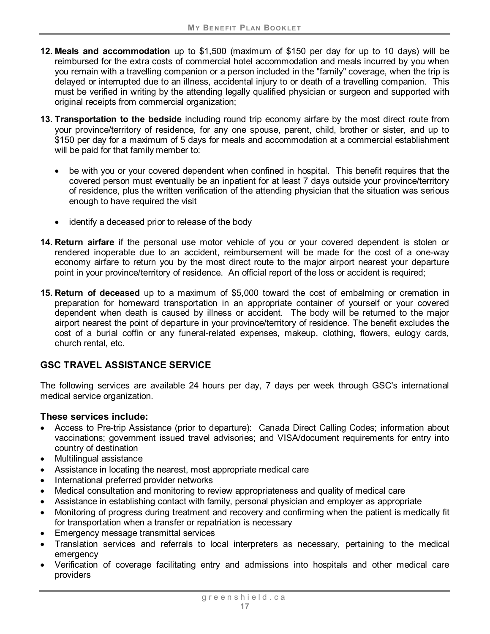- **12. Meals and accommodation** up to \$1,500 (maximum of \$150 per day for up to 10 days) will be reimbursed for the extra costs of commercial hotel accommodation and meals incurred by you when you remain with a travelling companion or a person included in the "family" coverage, when the trip is delayed or interrupted due to an illness, accidental injury to or death of a travelling companion. This must be verified in writing by the attending legally qualified physician or surgeon and supported with original receipts from commercial organization;
- **13. Transportation to the bedside** including round trip economy airfare by the most direct route from your province/territory of residence, for any one spouse, parent, child, brother or sister, and up to \$150 per day for a maximum of 5 days for meals and accommodation at a commercial establishment will be paid for that family member to:
	- be with you or your covered dependent when confined in hospital. This benefit requires that the covered person must eventually be an inpatient for at least 7 days outside your province/territory of residence, plus the written verification of the attending physician that the situation was serious enough to have required the visit
	- identify a deceased prior to release of the body
- **14. Return airfare** if the personal use motor vehicle of you or your covered dependent is stolen or rendered inoperable due to an accident, reimbursement will be made for the cost of a one-way economy airfare to return you by the most direct route to the major airport nearest your departure point in your province/territory of residence. An official report of the loss or accident is required;
- **15. Return of deceased** up to a maximum of \$5,000 toward the cost of embalming or cremation in preparation for homeward transportation in an appropriate container of yourself or your covered dependent when death is caused by illness or accident. The body will be returned to the major airport nearest the point of departure in your province/territory of residence. The benefit excludes the cost of a burial coffin or any funeral-related expenses, makeup, clothing, flowers, eulogy cards, church rental, etc.

# **GSC TRAVEL ASSISTANCE SERVICE**

The following services are available 24 hours per day, 7 days per week through GSC's international medical service organization.

#### **These services include:**

- Access to Pre-trip Assistance (prior to departure): Canada Direct Calling Codes; information about vaccinations; government issued travel advisories; and VISA/document requirements for entry into country of destination
- Multilingual assistance
- Assistance in locating the nearest, most appropriate medical care
- International preferred provider networks
- Medical consultation and monitoring to review appropriateness and quality of medical care
- Assistance in establishing contact with family, personal physician and employer as appropriate
- Monitoring of progress during treatment and recovery and confirming when the patient is medically fit for transportation when a transfer or repatriation is necessary
- Emergency message transmittal services
- Translation services and referrals to local interpreters as necessary, pertaining to the medical emergency
- Verification of coverage facilitating entry and admissions into hospitals and other medical care providers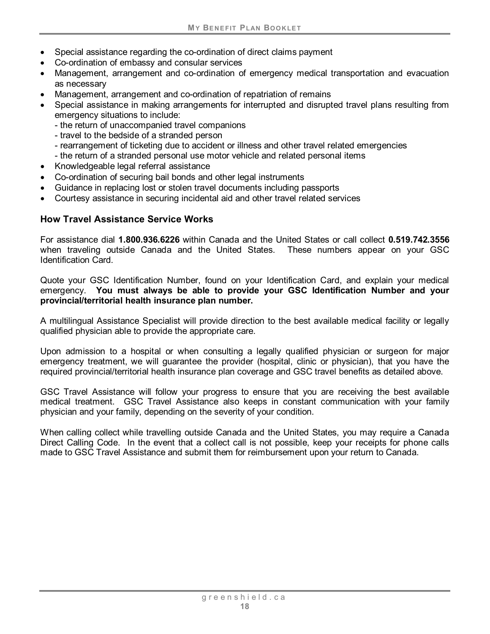- Special assistance regarding the co-ordination of direct claims payment
- Co-ordination of embassy and consular services
- Management, arrangement and co-ordination of emergency medical transportation and evacuation as necessary
- Management, arrangement and co-ordination of repatriation of remains
- Special assistance in making arrangements for interrupted and disrupted travel plans resulting from emergency situations to include:
	- the return of unaccompanied travel companions
	- travel to the bedside of a stranded person
	- rearrangement of ticketing due to accident or illness and other travel related emergencies
	- the return of a stranded personal use motor vehicle and related personal items
- Knowledgeable legal referral assistance
- Co-ordination of securing bail bonds and other legal instruments
- Guidance in replacing lost or stolen travel documents including passports
- Courtesy assistance in securing incidental aid and other travel related services

#### **How Travel Assistance Service Works**

For assistance dial **1.800.936.6226** within Canada and the United States or call collect **0.519.742.3556**  when traveling outside Canada and the United States. These numbers appear on your GSC Identification Card.

Quote your GSC Identification Number, found on your Identification Card, and explain your medical emergency. **You must always be able to provide your GSC Identification Number and your provincial/territorial health insurance plan number.**

A multilingual Assistance Specialist will provide direction to the best available medical facility or legally qualified physician able to provide the appropriate care.

Upon admission to a hospital or when consulting a legally qualified physician or surgeon for major emergency treatment, we will guarantee the provider (hospital, clinic or physician), that you have the required provincial/territorial health insurance plan coverage and GSC travel benefits as detailed above.

GSC Travel Assistance will follow your progress to ensure that you are receiving the best available medical treatment. GSC Travel Assistance also keeps in constant communication with your family physician and your family, depending on the severity of your condition.

When calling collect while travelling outside Canada and the United States, you may require a Canada Direct Calling Code. In the event that a collect call is not possible, keep your receipts for phone calls made to GSC Travel Assistance and submit them for reimbursement upon your return to Canada.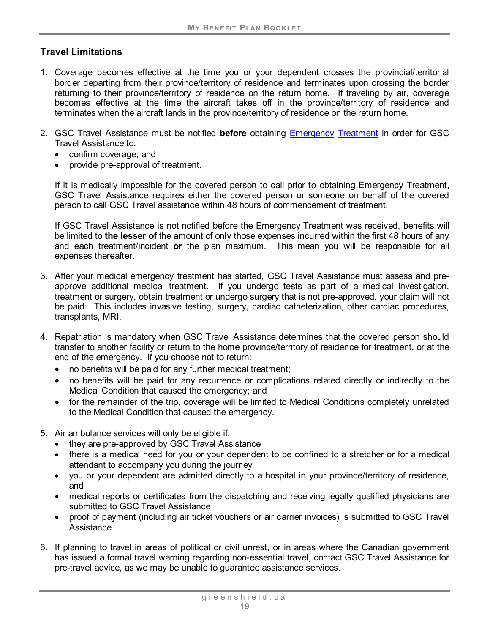## **Travel Limitations**

- 1. Coverage becomes effective at the time you or your dependent crosses the provincial/territorial border departing from their province/territory of residence and terminates upon crossing the border returning to their province/territory of residence on the return home. If traveling by air, coverage becomes effective at the time the aircraft takes off in the province/territory of residence and terminates when the aircraft lands in the province/territory of residence on the return home.
- 2. GSC Travel Assistance must be notified **before** obtaining Emergency [Treatment](#page-17-0) in order for GSC Travel Assistance to:
	- confirm coverage; and
	- provide pre-approval of treatment.

If it is medically impossible for the covered person to call prior to obtaining Emergency Treatment, GSC Travel Assistance requires either the covered person or someone on behalf of the covered person to call GSC Travel assistance within 48 hours of commencement of treatment.

If GSC Travel Assistance is not notified before the Emergency Treatment was received, benefits will be limited to **the lesser of** the amount of only those expenses incurred within the first 48 hours of any and each treatment/incident **or** the plan maximum. This mean you will be responsible for all expenses thereafter.

- 3. After your medical emergency treatment has started, GSC Travel Assistance must assess and preapprove additional medical treatment. If you undergo tests as part of a medical investigation, treatment or surgery, obtain treatment or undergo surgery that is not pre-approved, your claim will not be paid. This includes invasive testing, surgery, cardiac catheterization, other cardiac procedures, transplants, MRI.
- 4. Repatriation is mandatory when GSC Travel Assistance determines that the covered person should transfer to another facility or return to the home province/territory of residence for treatment, or at the end of the emergency. If you choose not to return:
	- no benefits will be paid for any further medical treatment;
	- no benefits will be paid for any recurrence or complications related directly or indirectly to the Medical Condition that caused the emergency; and
	- for the remainder of the trip, coverage will be limited to Medical Conditions completely unrelated to the Medical Condition that caused the emergency.
- 5. Air ambulance services will only be eligible if:
	- they are pre-approved by GSC Travel Assistance
	- there is a medical need for you or your dependent to be confined to a stretcher or for a medical attendant to accompany you during the journey
	- you or your dependent are admitted directly to a hospital in your province/territory of residence, and
	- medical reports or certificates from the dispatching and receiving legally qualified physicians are submitted to GSC Travel Assistance
	- proof of payment (including air ticket vouchers or air carrier invoices) is submitted to GSC Travel **Assistance**
- 6. If planning to travel in areas of political or civil unrest, or in areas where the Canadian government has issued a formal travel warning regarding non-essential travel, contact GSC Travel Assistance for pre-travel advice, as we may be unable to guarantee assistance services.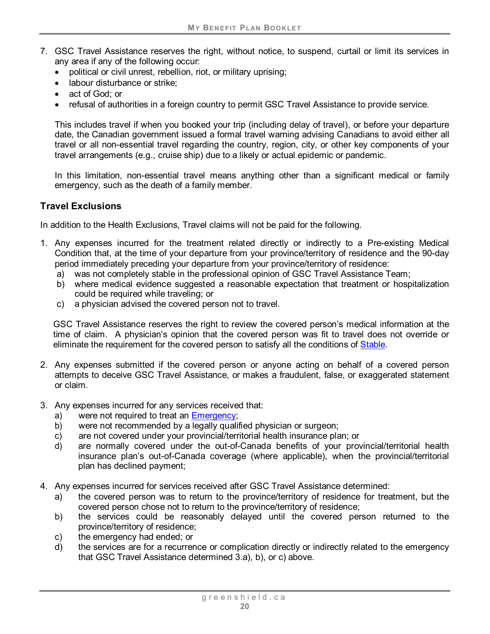- 7. GSC Travel Assistance reserves the right, without notice, to suspend, curtail or limit its services in any area if any of the following occur:
	- political or civil unrest, rebellion, riot, or military uprising;
	- labour disturbance or strike:
	- act of God; or
	- refusal of authorities in a foreign country to permit GSC Travel Assistance to provide service.

This includes travel if when you booked your trip (including delay of travel), or before your departure date, the Canadian government issued a formal travel warning advising Canadians to avoid either all travel or all non-essential travel regarding the country, region, city, or other key components of your travel arrangements (e.g., cruise ship) due to a likely or actual epidemic or pandemic.

In this limitation, non-essential travel means anything other than a significant medical or family emergency, such as the death of a family member.

#### **Travel Exclusions**

In addition to the Health Exclusions, Travel claims will not be paid for the following.

- 1. Any expenses incurred for the treatment related directly or indirectly to a Pre-existing Medical Condition that, at the time of your departure from your province/territory of residence and the 90-day period immediately preceding your departure from your province/territory of residence:
	- a) was not completely stable in the professional opinion of GSC Travel Assistance Team;
	- b) where medical evidence suggested a reasonable expectation that treatment or hospitalization could be required while traveling; or
	- c) a physician advised the covered person not to travel.

GSC Travel Assistance reserves the right to review the covered person's medical information at the time of claim. A physician's opinion that the covered person was fit to travel does not override or eliminate the requirement for the covered person to satisfy all the conditions of [Stable.](#page-16-1)

- 2. Any expenses submitted if the covered person or anyone acting on behalf of a covered person attempts to deceive GSC Travel Assistance, or makes a fraudulent, false, or exaggerated statement or claim.
- 3. Any expenses incurred for any services received that:
	- a) were not required to treat an Emergency;
	- b) were not recommended by a legally qualified physician or surgeon;
	- c) are not covered under your provincial/territorial health insurance plan; or
	- d) are normally covered under the out-of-Canada benefits of your provincial/territorial health insurance plan's out-of-Canada coverage (where applicable), when the provincial/territorial plan has declined payment;
- 4. Any expenses incurred for services received after GSC Travel Assistance determined:
	- a) the covered person was to return to the province/territory of residence for treatment, but the covered person chose not to return to the province/territory of residence;
	- b) the services could be reasonably delayed until the covered person returned to the province/territory of residence;
	- c) the emergency had ended; or
	- d) the services are for a recurrence or complication directly or indirectly related to the emergency that GSC Travel Assistance determined 3.a), b), or c) above.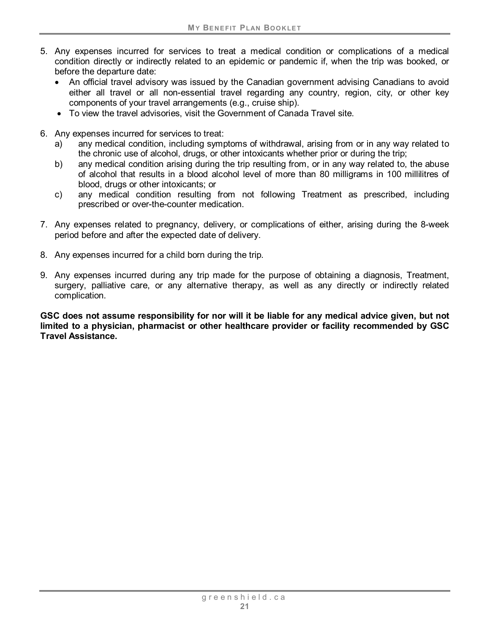- 5. Any expenses incurred for services to treat a medical condition or complications of a medical condition directly or indirectly related to an epidemic or pandemic if, when the trip was booked, or before the departure date:
	- An official travel advisory was issued by the Canadian government advising Canadians to avoid either all travel or all non-essential travel regarding any country, region, city, or other key components of your travel arrangements (e.g., cruise ship).
	- To view the travel advisories, visit the Government of Canada Travel site.
- 6. Any expenses incurred for services to treat:
	- a) any medical condition, including symptoms of withdrawal, arising from or in any way related to the chronic use of alcohol, drugs, or other intoxicants whether prior or during the trip;
	- b) any medical condition arising during the trip resulting from, or in any way related to, the abuse of alcohol that results in a blood alcohol level of more than 80 milligrams in 100 millilitres of blood, drugs or other intoxicants; or
	- c) any medical condition resulting from not following Treatment as prescribed, including prescribed or over-the-counter medication.
- 7. Any expenses related to pregnancy, delivery, or complications of either, arising during the 8-week period before and after the expected date of delivery.
- 8. Any expenses incurred for a child born during the trip.
- 9. Any expenses incurred during any trip made for the purpose of obtaining a diagnosis, Treatment, surgery, palliative care, or any alternative therapy, as well as any directly or indirectly related complication.

**GSC does not assume responsibility for nor will it be liable for any medical advice given, but not limited to a physician, pharmacist or other healthcare provider or facility recommended by GSC Travel Assistance.**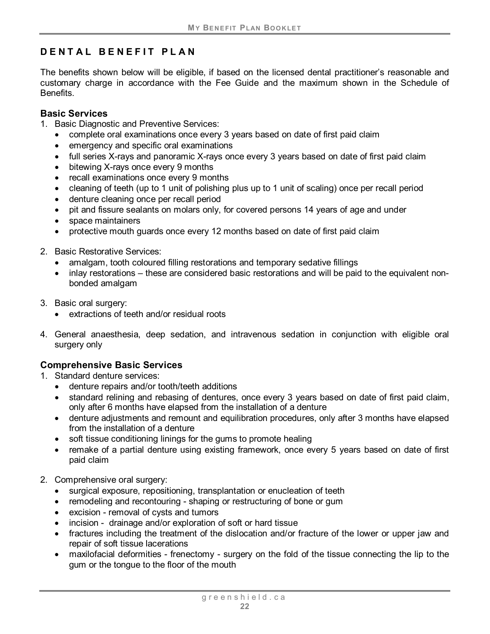# <span id="page-24-0"></span>**DENTAL BENEFIT PLAN**

The benefits shown below will be eligible, if based on the licensed dental practitioner's reasonable and customary charge in accordance with the Fee Guide and the maximum shown in the Schedule of Benefits.

#### <span id="page-24-1"></span>**Basic Services**

- 1. Basic Diagnostic and Preventive Services:
	- complete oral examinations once every 3 years based on date of first paid claim
	- emergency and specific oral examinations
	- full series X-rays and panoramic X-rays once every 3 years based on date of first paid claim
	- bitewing X-rays once every 9 months
	- recall examinations once every 9 months
	- cleaning of teeth (up to 1 unit of polishing plus up to 1 unit of scaling) once per recall period
	- denture cleaning once per recall period
	- pit and fissure sealants on molars only, for covered persons 14 years of age and under
	- space maintainers
	- protective mouth quards once every 12 months based on date of first paid claim
- 2. Basic Restorative Services:
	- amalgam, tooth coloured filling restorations and temporary sedative fillings
	- inlay restorations these are considered basic restorations and will be paid to the equivalent nonbonded amalgam
- 3. Basic oral surgery:
	- extractions of teeth and/or residual roots
- 4. General anaesthesia, deep sedation, and intravenous sedation in conjunction with eligible oral surgery only

# <span id="page-24-2"></span>**Comprehensive Basic Services**

- 1. Standard denture services:
	- denture repairs and/or tooth/teeth additions
	- standard relining and rebasing of dentures, once every 3 years based on date of first paid claim, only after 6 months have elapsed from the installation of a denture
	- denture adjustments and remount and equilibration procedures, only after 3 months have elapsed from the installation of a denture
	- soft tissue conditioning linings for the gums to promote healing
	- remake of a partial denture using existing framework, once every 5 years based on date of first paid claim
- 2. Comprehensive oral surgery:
	- surgical exposure, repositioning, transplantation or enucleation of teeth
	- remodeling and recontouring shaping or restructuring of bone or gum
	- excision removal of cysts and tumors
	- incision drainage and/or exploration of soft or hard tissue
	- fractures including the treatment of the dislocation and/or fracture of the lower or upper jaw and repair of soft tissue lacerations
	- maxilofacial deformities frenectomy surgery on the fold of the tissue connecting the lip to the gum or the tongue to the floor of the mouth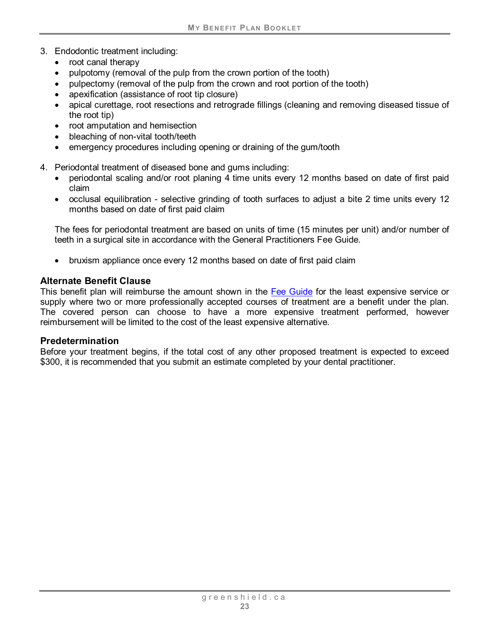- 3. Endodontic treatment including:
	- root canal therapy
	- pulpotomy (removal of the pulp from the crown portion of the tooth)
	- pulpectomy (removal of the pulp from the crown and root portion of the tooth)
	- apexification (assistance of root tip closure)
	- apical curettage, root resections and retrograde fillings (cleaning and removing diseased tissue of the root tip)
	- root amputation and hemisection
	- bleaching of non-vital tooth/teeth
	- emergency procedures including opening or draining of the gum/tooth
- 4. Periodontal treatment of diseased bone and gums including:
	- periodontal scaling and/or root planing 4 time units every 12 months based on date of first paid claim
	- occlusal equilibration selective grinding of tooth surfaces to adjust a bite 2 time units every 12 months based on date of first paid claim

The fees for periodontal treatment are based on units of time (15 minutes per unit) and/or number of teeth in a surgical site in accordance with the General Practitioners Fee Guide.

• bruxism appliance once every 12 months based on date of first paid claim

#### **Alternate Benefit Clause**

This benefit plan will reimburse the amount shown in the Fee Guide for the least expensive service or supply where two or more professionally accepted courses of treatment are a benefit under the plan. The covered person can choose to have a more expensive treatment performed, however reimbursement will be limited to the cost of the least expensive alternative.

#### **Predetermination**

Before your treatment begins, if the total cost of any other proposed treatment is expected to exceed \$300, it is recommended that you submit an estimate completed by your dental practitioner.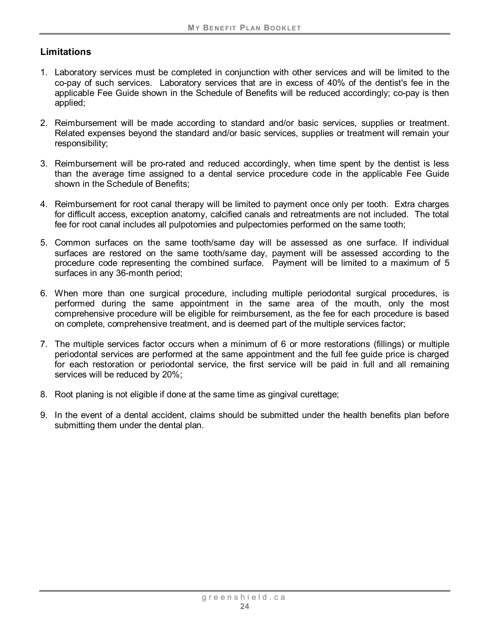## **Limitations**

- 1. Laboratory services must be completed in conjunction with other services and will be limited to the co-pay of such services. Laboratory services that are in excess of 40% of the dentist's fee in the applicable Fee Guide shown in the Schedule of Benefits will be reduced accordingly; co-pay is then applied;
- 2. Reimbursement will be made according to standard and/or basic services, supplies or treatment. Related expenses beyond the standard and/or basic services, supplies or treatment will remain your responsibility;
- 3. Reimbursement will be pro-rated and reduced accordingly, when time spent by the dentist is less than the average time assigned to a dental service procedure code in the applicable Fee Guide shown in the Schedule of Benefits;
- 4. Reimbursement for root canal therapy will be limited to payment once only per tooth. Extra charges for difficult access, exception anatomy, calcified canals and retreatments are not included. The total fee for root canal includes all pulpotomies and pulpectomies performed on the same tooth;
- 5. Common surfaces on the same tooth/same day will be assessed as one surface. If individual surfaces are restored on the same tooth/same day, payment will be assessed according to the procedure code representing the combined surface. Payment will be limited to a maximum of 5 surfaces in any 36-month period;
- 6. When more than one surgical procedure, including multiple periodontal surgical procedures, is performed during the same appointment in the same area of the mouth, only the most comprehensive procedure will be eligible for reimbursement, as the fee for each procedure is based on complete, comprehensive treatment, and is deemed part of the multiple services factor;
- 7. The multiple services factor occurs when a minimum of 6 or more restorations (fillings) or multiple periodontal services are performed at the same appointment and the full fee guide price is charged for each restoration or periodontal service, the first service will be paid in full and all remaining services will be reduced by 20%;
- 8. Root planing is not eligible if done at the same time as gingival curettage;
- 9. In the event of a dental accident, claims should be submitted under the health benefits plan before submitting them under the dental plan.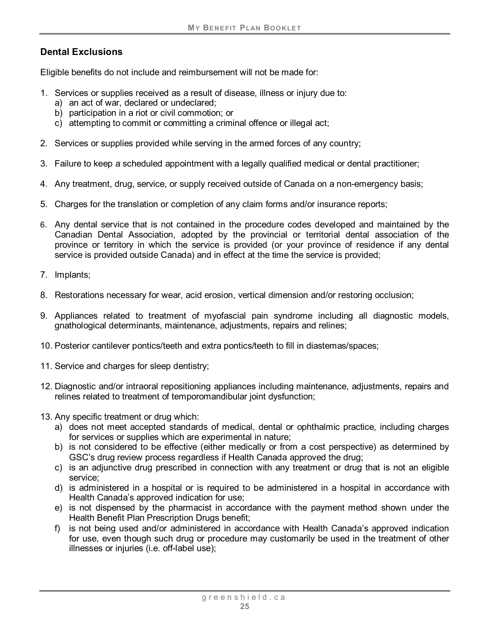## **Dental Exclusions**

Eligible benefits do not include and reimbursement will not be made for:

- 1. Services or supplies received as a result of disease, illness or injury due to:
	- a) an act of war, declared or undeclared;
	- b) participation in a riot or civil commotion; or
	- c) attempting to commit or committing a criminal offence or illegal act;
- 2. Services or supplies provided while serving in the armed forces of any country;
- 3. Failure to keep a scheduled appointment with a legally qualified medical or dental practitioner;
- 4. Any treatment, drug, service, or supply received outside of Canada on a non-emergency basis;
- 5. Charges for the translation or completion of any claim forms and/or insurance reports;
- 6. Any dental service that is not contained in the procedure codes developed and maintained by the Canadian Dental Association, adopted by the provincial or territorial dental association of the province or territory in which the service is provided (or your province of residence if any dental service is provided outside Canada) and in effect at the time the service is provided;
- 7. Implants;
- 8. Restorations necessary for wear, acid erosion, vertical dimension and/or restoring occlusion;
- 9. Appliances related to treatment of myofascial pain syndrome including all diagnostic models, gnathological determinants, maintenance, adjustments, repairs and relines;
- 10. Posterior cantilever pontics/teeth and extra pontics/teeth to fill in diastemas/spaces;
- 11. Service and charges for sleep dentistry;
- 12. Diagnostic and/or intraoral repositioning appliances including maintenance, adjustments, repairs and relines related to treatment of temporomandibular joint dysfunction;
- 13. Any specific treatment or drug which:
	- a) does not meet accepted standards of medical, dental or ophthalmic practice, including charges for services or supplies which are experimental in nature;
	- b) is not considered to be effective (either medically or from a cost perspective) as determined by GSC's drug review process regardless if Health Canada approved the drug;
	- c) is an adjunctive drug prescribed in connection with any treatment or drug that is not an eligible service;
	- d) is administered in a hospital or is required to be administered in a hospital in accordance with Health Canada's approved indication for use;
	- e) is not dispensed by the pharmacist in accordance with the payment method shown under the Health Benefit Plan Prescription Drugs benefit;
	- f) is not being used and/or administered in accordance with Health Canada's approved indication for use, even though such drug or procedure may customarily be used in the treatment of other illnesses or injuries (i.e. off-label use);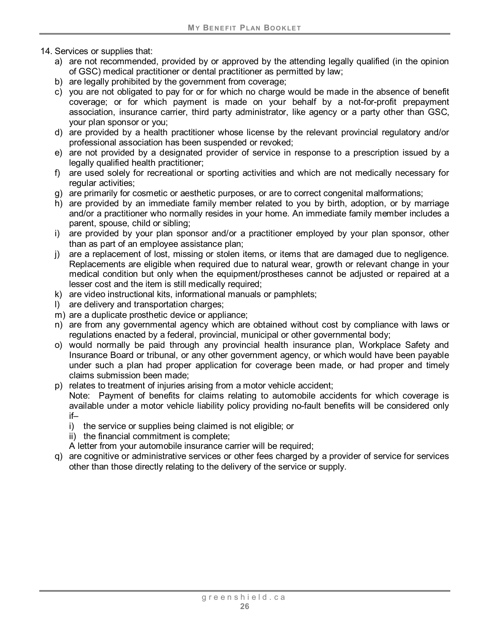- 14. Services or supplies that:
	- a) are not recommended, provided by or approved by the attending legally qualified (in the opinion of GSC) medical practitioner or dental practitioner as permitted by law;
	- b) are legally prohibited by the government from coverage;
	- c) you are not obligated to pay for or for which no charge would be made in the absence of benefit coverage; or for which payment is made on your behalf by a not-for-profit prepayment association, insurance carrier, third party administrator, like agency or a party other than GSC, your plan sponsor or you;
	- d) are provided by a health practitioner whose license by the relevant provincial regulatory and/or professional association has been suspended or revoked;
	- e) are not provided by a designated provider of service in response to a prescription issued by a legally qualified health practitioner;
	- f) are used solely for recreational or sporting activities and which are not medically necessary for regular activities;
	- g) are primarily for cosmetic or aesthetic purposes, or are to correct congenital malformations;
	- h) are provided by an immediate family member related to you by birth, adoption, or by marriage and/or a practitioner who normally resides in your home. An immediate family member includes a parent, spouse, child or sibling;
	- i) are provided by your plan sponsor and/or a practitioner employed by your plan sponsor, other than as part of an employee assistance plan;
	- j) are a replacement of lost, missing or stolen items, or items that are damaged due to negligence. Replacements are eligible when required due to natural wear, growth or relevant change in your medical condition but only when the equipment/prostheses cannot be adjusted or repaired at a lesser cost and the item is still medically required;
	- k) are video instructional kits, informational manuals or pamphlets;
	- l) are delivery and transportation charges;
	- m) are a duplicate prosthetic device or appliance;
	- n) are from any governmental agency which are obtained without cost by compliance with laws or regulations enacted by a federal, provincial, municipal or other governmental body;
	- o) would normally be paid through any provincial health insurance plan, Workplace Safety and Insurance Board or tribunal, or any other government agency, or which would have been payable under such a plan had proper application for coverage been made, or had proper and timely claims submission been made;
	- p) relates to treatment of injuries arising from a motor vehicle accident;

Note: Payment of benefits for claims relating to automobile accidents for which coverage is available under a motor vehicle liability policy providing no-fault benefits will be considered only if–

- i) the service or supplies being claimed is not eligible; or
- ii) the financial commitment is complete;
- A letter from your automobile insurance carrier will be required;
- q) are cognitive or administrative services or other fees charged by a provider of service for services other than those directly relating to the delivery of the service or supply.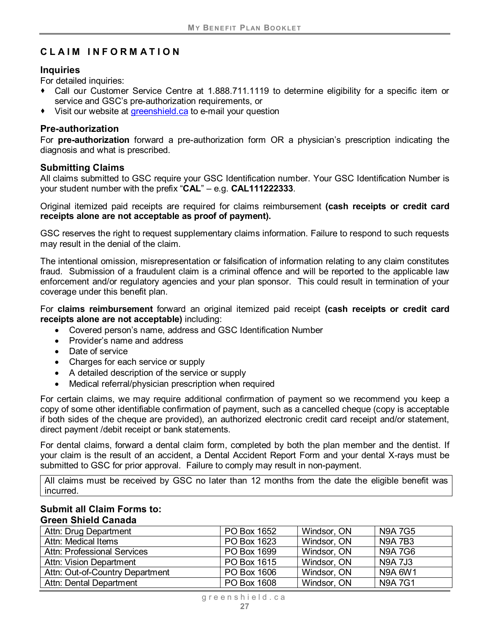# <span id="page-29-0"></span>**CLAIM INFORMATION**

#### **Inquiries**

For detailed inquiries:

- Call our Customer Service Centre at 1.888.711.1119 to determine eligibility for a specific item or service and GSC's pre-authorization requirements, or
- ◆ Visit our website at [greenshield.ca](https://www.greenshield.ca/en-ca) to e-mail your question

#### **Pre-authorization**

For **pre-authorization** forward a pre-authorization form OR a physician's prescription indicating the diagnosis and what is prescribed.

#### **Submitting Claims**

All claims submitted to GSC require your GSC Identification number. Your GSC Identification Number is your student number with the prefix "**CAL**" – e.g. **CAL111222333**.

Original itemized paid receipts are required for claims reimbursement **(cash receipts or credit card receipts alone are not acceptable as proof of payment).**

GSC reserves the right to request supplementary claims information. Failure to respond to such requests may result in the denial of the claim.

The intentional omission, misrepresentation or falsification of information relating to any claim constitutes fraud. Submission of a fraudulent claim is a criminal offence and will be reported to the applicable law enforcement and/or regulatory agencies and your plan sponsor. This could result in termination of your coverage under this benefit plan.

For **claims reimbursement** forward an original itemized paid receipt **(cash receipts or credit card receipts alone are not acceptable)** including:

- Covered person's name, address and GSC Identification Number
- Provider's name and address
- Date of service
- Charges for each service or supply
- A detailed description of the service or supply
- Medical referral/physician prescription when required

For certain claims, we may require additional confirmation of payment so we recommend you keep a copy of some other identifiable confirmation of payment, such as a cancelled cheque (copy is acceptable if both sides of the cheque are provided), an authorized electronic credit card receipt and/or statement, direct payment /debit receipt or bank statements.

For dental claims, forward a dental claim form, completed by both the plan member and the dentist. If your claim is the result of an accident, a Dental Accident Report Form and your dental X-rays must be submitted to GSC for prior approval. Failure to comply may result in non-payment.

All claims must be received by GSC no later than 12 months from the date the eligible benefit was incurred.

#### **Submit all Claim Forms to: Green Shield Canada**

| Attn: Drug Department              | PO Box 1652 | Windsor, ON | <b>N9A7G5</b>  |
|------------------------------------|-------------|-------------|----------------|
| Attn: Medical Items                | PO Box 1623 | Windsor, ON | <b>N9A7B3</b>  |
| <b>Attn: Professional Services</b> | PO Box 1699 | Windsor, ON | <b>N9A7G6</b>  |
| Attn: Vision Department            | PO Box 1615 | Windsor, ON | <b>N9A 7J3</b> |
| Attn: Out-of-Country Department    | PO Box 1606 | Windsor, ON | N9A 6W1        |
| Attn: Dental Department            | PO Box 1608 | Windsor, ON | <b>N9A7G1</b>  |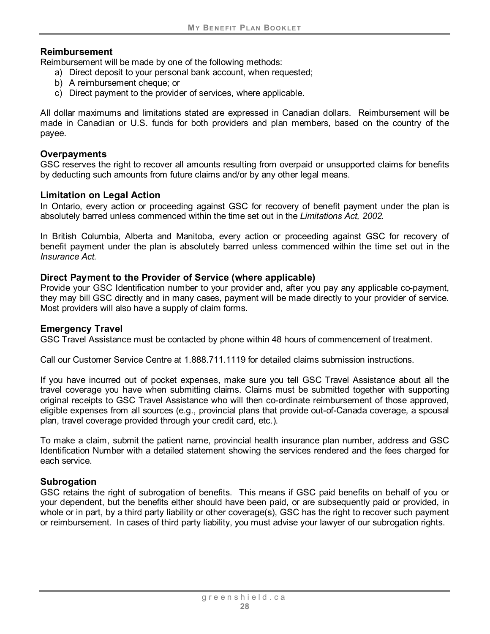#### **Reimbursement**

Reimbursement will be made by one of the following methods:

- a) Direct deposit to your personal bank account, when requested;
- b) A reimbursement cheque; or
- c) Direct payment to the provider of services, where applicable.

All dollar maximums and limitations stated are expressed in Canadian dollars. Reimbursement will be made in Canadian or U.S. funds for both providers and plan members, based on the country of the payee.

#### **Overpayments**

GSC reserves the right to recover all amounts resulting from overpaid or unsupported claims for benefits by deducting such amounts from future claims and/or by any other legal means.

#### **Limitation on Legal Action**

In Ontario, every action or proceeding against GSC for recovery of benefit payment under the plan is absolutely barred unless commenced within the time set out in the *Limitations Act, 2002.*

In British Columbia, Alberta and Manitoba, every action or proceeding against GSC for recovery of benefit payment under the plan is absolutely barred unless commenced within the time set out in the *Insurance Act.*

#### **Direct Payment to the Provider of Service (where applicable)**

Provide your GSC Identification number to your provider and, after you pay any applicable co-payment, they may bill GSC directly and in many cases, payment will be made directly to your provider of service. Most providers will also have a supply of claim forms.

#### **Emergency Travel**

GSC Travel Assistance must be contacted by phone within 48 hours of commencement of treatment.

Call our Customer Service Centre at 1.888.711.1119 for detailed claims submission instructions.

If you have incurred out of pocket expenses, make sure you tell GSC Travel Assistance about all the travel coverage you have when submitting claims. Claims must be submitted together with supporting original receipts to GSC Travel Assistance who will then co-ordinate reimbursement of those approved, eligible expenses from all sources (e.g., provincial plans that provide out-of-Canada coverage, a spousal plan, travel coverage provided through your credit card, etc.).

To make a claim, submit the patient name, provincial health insurance plan number, address and GSC Identification Number with a detailed statement showing the services rendered and the fees charged for each service.

#### **Subrogation**

GSC retains the right of subrogation of benefits. This means if GSC paid benefits on behalf of you or your dependent, but the benefits either should have been paid, or are subsequently paid or provided, in whole or in part, by a third party liability or other coverage(s), GSC has the right to recover such payment or reimbursement. In cases of third party liability, you must advise your lawyer of our subrogation rights.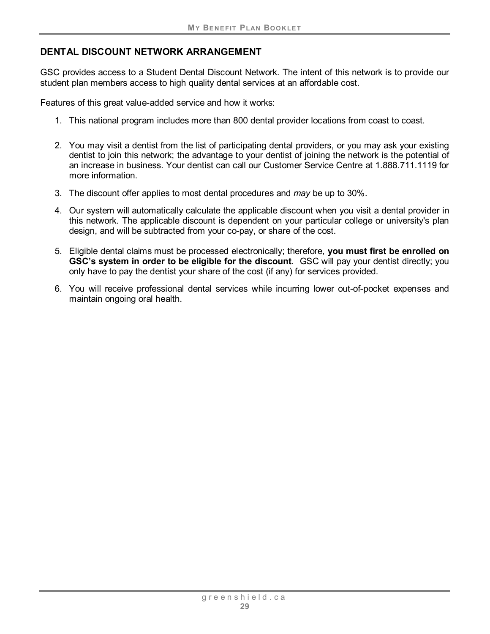## **DENTAL DISCOUNT NETWORK ARRANGEMENT**

GSC provides access to a Student Dental Discount Network. The intent of this network is to provide our student plan members access to high quality dental services at an affordable cost.

Features of this great value-added service and how it works:

- 1. This national program includes more than 800 dental provider locations from coast to coast.
- 2. You may visit a dentist from the list of participating dental providers, or you may ask your existing dentist to join this network; the advantage to your dentist of joining the network is the potential of an increase in business. Your dentist can call our Customer Service Centre at 1.888.711.1119 for more information.
- 3. The discount offer applies to most dental procedures and *may* be up to 30%.
- 4. Our system will automatically calculate the applicable discount when you visit a dental provider in this network. The applicable discount is dependent on your particular college or university's plan design, and will be subtracted from your co-pay, or share of the cost.
- 5. Eligible dental claims must be processed electronically; therefore, **you must first be enrolled on GSC's system in order to be eligible for the discount**. GSC will pay your dentist directly; you only have to pay the dentist your share of the cost (if any) for services provided.
- 6. You will receive professional dental services while incurring lower out-of-pocket expenses and maintain ongoing oral health.